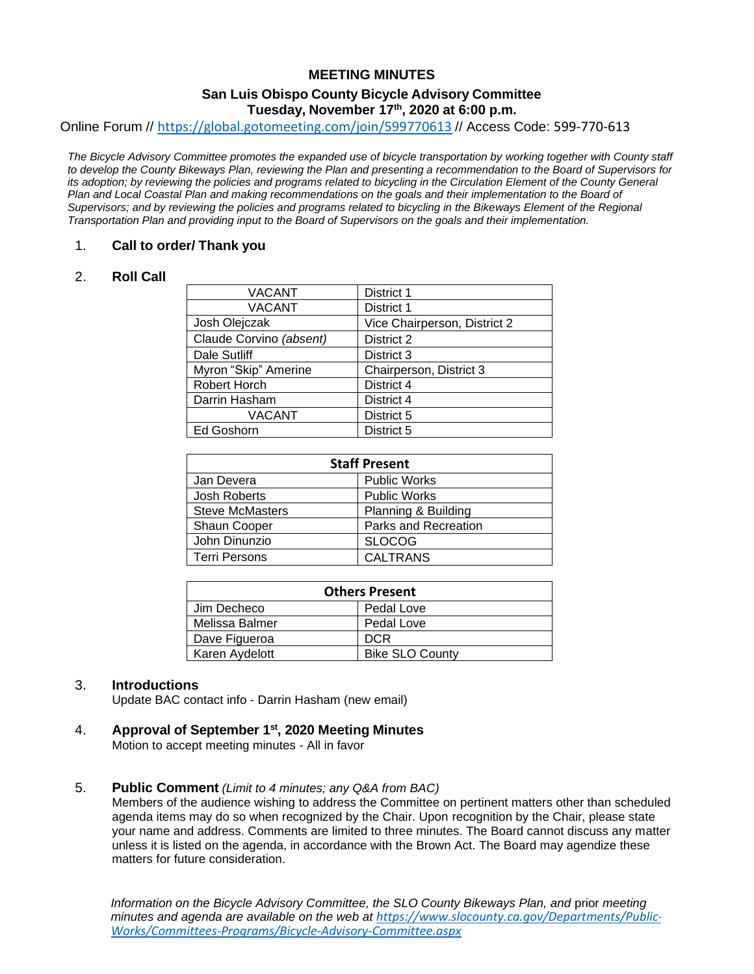# **MEETING MINUTES**

# **San Luis Obispo County Bicycle Advisory Committee Tuesday, November 17th , 2020 at 6:00 p.m.**

Online Forum // <https://global.gotomeeting.com/join/599770613> // Access Code: 599-770-613

*The Bicycle Advisory Committee promotes the expanded use of bicycle transportation by working together with County staff to develop the County Bikeways Plan, reviewing the Plan and presenting a recommendation to the Board of Supervisors for its adoption; by reviewing the policies and programs related to bicycling in the Circulation Element of the County General Plan and Local Coastal Plan and making recommendations on the goals and their implementation to the Board of Supervisors; and by reviewing the policies and programs related to bicycling in the Bikeways Element of the Regional Transportation Plan and providing input to the Board of Supervisors on the goals and their implementation.*

#### 1. **Call to order/ Thank you**

#### 2. **Roll Call**

| <b>VACANT</b>           | <b>District 1</b>            |
|-------------------------|------------------------------|
| <b>VACANT</b>           | District 1                   |
| Josh Olejczak           | Vice Chairperson, District 2 |
| Claude Corvino (absent) | District 2                   |
| Dale Sutliff            | District 3                   |
| Myron "Skip" Amerine    | Chairperson, District 3      |
| <b>Robert Horch</b>     | District 4                   |
| Darrin Hasham           | District 4                   |
| <b>VACANT</b>           | District 5                   |
| Ed Goshorn              | District 5                   |

| <b>Staff Present</b>   |                      |  |
|------------------------|----------------------|--|
| Jan Devera             | <b>Public Works</b>  |  |
| <b>Josh Roberts</b>    | <b>Public Works</b>  |  |
| <b>Steve McMasters</b> | Planning & Building  |  |
| <b>Shaun Cooper</b>    | Parks and Recreation |  |
| John Dinunzio          | <b>SLOCOG</b>        |  |
| <b>Terri Persons</b>   | <b>CALTRANS</b>      |  |

| <b>Others Present</b> |                        |  |
|-----------------------|------------------------|--|
| Jim Decheco           | Pedal Love             |  |
| Melissa Balmer        | Pedal Love             |  |
| Dave Figueroa         | <b>DCR</b>             |  |
| Karen Aydelott        | <b>Bike SLO County</b> |  |

# 3. **Introductions**

Update BAC contact info - Darrin Hasham (new email)

# 4. **Approval of September 1st, 2020 Meeting Minutes**

Motion to accept meeting minutes - All in favor

#### 5. **Public Comment** *(Limit to 4 minutes; any Q&A from BAC)*

Members of the audience wishing to address the Committee on pertinent matters other than scheduled agenda items may do so when recognized by the Chair. Upon recognition by the Chair, please state your name and address. Comments are limited to three minutes. The Board cannot discuss any matter unless it is listed on the agenda, in accordance with the Brown Act. The Board may agendize these matters for future consideration.

*Information on the Bicycle Advisory Committee, the SLO County Bikeways Plan, and* prior *meeting minutes and agenda are available on the web at [https://www.slocounty.ca.gov/Departments/Public-](https://www.slocounty.ca.gov/Departments/Public-Works/Committees-Programs/Bicycle-Advisory-Committee.aspx)[Works/Committees-Programs/Bicycle-Advisory-Committee.aspx](https://www.slocounty.ca.gov/Departments/Public-Works/Committees-Programs/Bicycle-Advisory-Committee.aspx)*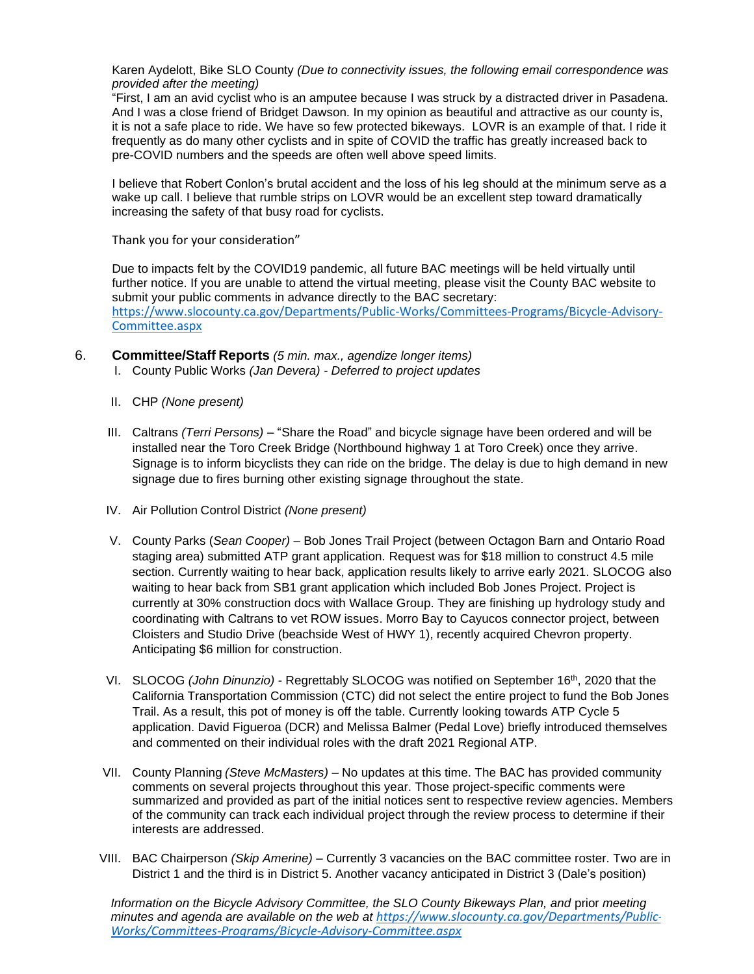Karen Aydelott, Bike SLO County *(Due to connectivity issues, the following email correspondence was provided after the meeting)* 

"First, I am an avid cyclist who is an amputee because I was struck by a distracted driver in Pasadena. And I was a close friend of Bridget Dawson. In my opinion as beautiful and attractive as our county is, it is not a safe place to ride. We have so few protected bikeways. LOVR is an example of that. I ride it frequently as do many other cyclists and in spite of COVID the traffic has greatly increased back to pre-COVID numbers and the speeds are often well above speed limits.

I believe that Robert Conlon's brutal accident and the loss of his leg should at the minimum serve as a wake up call. I believe that rumble strips on LOVR would be an excellent step toward dramatically increasing the safety of that busy road for cyclists.

Thank you for your consideration"

Due to impacts felt by the COVID19 pandemic, all future BAC meetings will be held virtually until further notice. If you are unable to attend the virtual meeting, please visit the County BAC website to submit your public comments in advance directly to the BAC secretary: [https://www.slocounty.ca.gov/Departments/Public-Works/Committees-Programs/Bicycle-Advisory-](https://www.slocounty.ca.gov/Departments/Public-Works/Committees-Programs/Bicycle-Advisory-Committee.aspx)[Committee.aspx](https://www.slocounty.ca.gov/Departments/Public-Works/Committees-Programs/Bicycle-Advisory-Committee.aspx)

- 6. **Committee/Staff Reports** *(5 min. max., agendize longer items)*
	- I. County Public Works *(Jan Devera) - Deferred to project updates*
	- II. CHP *(None present)*
	- III. Caltrans *(Terri Persons)* "Share the Road" and bicycle signage have been ordered and will be installed near the Toro Creek Bridge (Northbound highway 1 at Toro Creek) once they arrive. Signage is to inform bicyclists they can ride on the bridge. The delay is due to high demand in new signage due to fires burning other existing signage throughout the state.
	- IV. Air Pollution Control District *(None present)*
	- V. County Parks (*Sean Cooper)* Bob Jones Trail Project (between Octagon Barn and Ontario Road staging area) submitted ATP grant application. Request was for \$18 million to construct 4.5 mile section. Currently waiting to hear back, application results likely to arrive early 2021. SLOCOG also waiting to hear back from SB1 grant application which included Bob Jones Project. Project is currently at 30% construction docs with Wallace Group. They are finishing up hydrology study and coordinating with Caltrans to vet ROW issues. Morro Bay to Cayucos connector project, between Cloisters and Studio Drive (beachside West of HWY 1), recently acquired Chevron property. Anticipating \$6 million for construction.
	- VI. SLOCOG *(John Dinunzio)* Regrettably SLOCOG was notified on September 16th, 2020 that the California Transportation Commission (CTC) did not select the entire project to fund the Bob Jones Trail. As a result, this pot of money is off the table. Currently looking towards ATP Cycle 5 application. David Figueroa (DCR) and Melissa Balmer (Pedal Love) briefly introduced themselves and commented on their individual roles with the draft 2021 Regional ATP.
	- VII. County Planning *(Steve McMasters)* No updates at this time. The BAC has provided community comments on several projects throughout this year. Those project-specific comments were summarized and provided as part of the initial notices sent to respective review agencies. Members of the community can track each individual project through the review process to determine if their interests are addressed.
	- VIII. BAC Chairperson *(Skip Amerine) –* Currently 3 vacancies on the BAC committee roster. Two are in District 1 and the third is in District 5. Another vacancy anticipated in District 3 (Dale's position)

*Information on the Bicycle Advisory Committee, the SLO County Bikeways Plan, and* prior *meeting minutes and agenda are available on the web at [https://www.slocounty.ca.gov/Departments/Public-](https://www.slocounty.ca.gov/Departments/Public-Works/Committees-Programs/Bicycle-Advisory-Committee.aspx)[Works/Committees-Programs/Bicycle-Advisory-Committee.aspx](https://www.slocounty.ca.gov/Departments/Public-Works/Committees-Programs/Bicycle-Advisory-Committee.aspx)*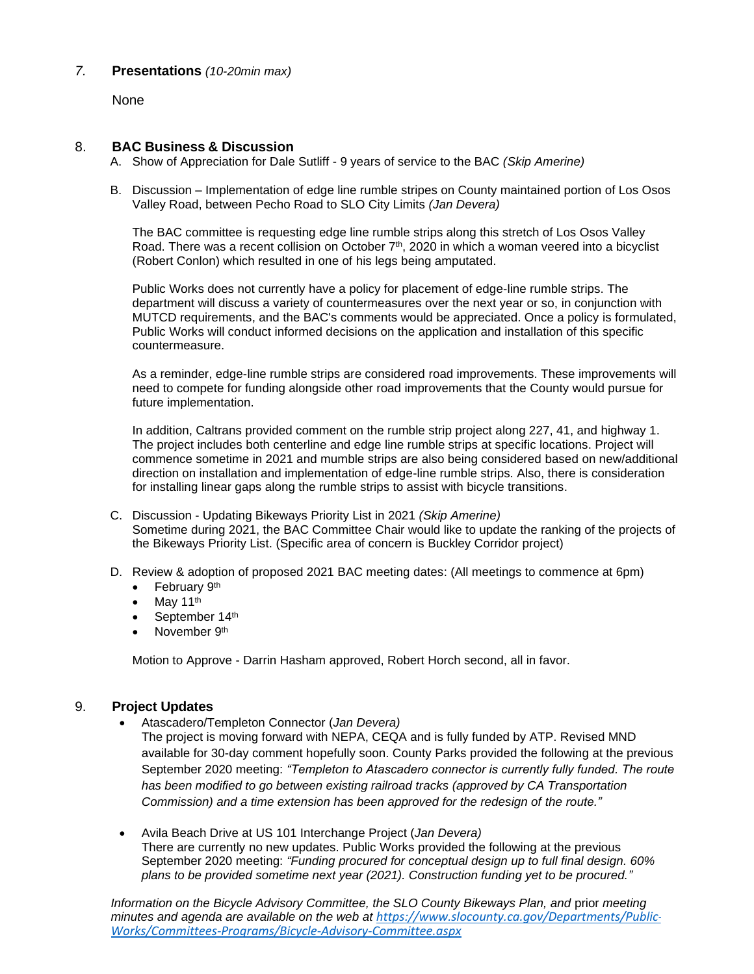# *7.* **Presentations** *(10-20min max)*

None

#### 8. **BAC Business & Discussion**

- A. Show of Appreciation for Dale Sutliff 9 years of service to the BAC *(Skip Amerine)*
- B. Discussion Implementation of edge line rumble stripes on County maintained portion of Los Osos Valley Road, between Pecho Road to SLO City Limits *(Jan Devera)*

The BAC committee is requesting edge line rumble strips along this stretch of Los Osos Valley Road. There was a recent collision on October 7<sup>th</sup>, 2020 in which a woman veered into a bicyclist (Robert Conlon) which resulted in one of his legs being amputated.

Public Works does not currently have a policy for placement of edge-line rumble strips. The department will discuss a variety of countermeasures over the next year or so, in conjunction with MUTCD requirements, and the BAC's comments would be appreciated. Once a policy is formulated, Public Works will conduct informed decisions on the application and installation of this specific countermeasure.

As a reminder, edge-line rumble strips are considered road improvements. These improvements will need to compete for funding alongside other road improvements that the County would pursue for future implementation.

In addition, Caltrans provided comment on the rumble strip project along 227, 41, and highway 1. The project includes both centerline and edge line rumble strips at specific locations. Project will commence sometime in 2021 and mumble strips are also being considered based on new/additional direction on installation and implementation of edge-line rumble strips. Also, there is consideration for installing linear gaps along the rumble strips to assist with bicycle transitions.

- C. Discussion Updating Bikeways Priority List in 2021 *(Skip Amerine)* Sometime during 2021, the BAC Committee Chair would like to update the ranking of the projects of the Bikeways Priority List. (Specific area of concern is Buckley Corridor project)
- D. Review & adoption of proposed 2021 BAC meeting dates: (All meetings to commence at 6pm)
	- February 9<sup>th</sup>
	- $\bullet$  May 11<sup>th</sup>
	- September 14th
	- November 9<sup>th</sup>

Motion to Approve - Darrin Hasham approved, Robert Horch second, all in favor.

# 9. **Project Updates**

- Atascadero/Templeton Connector (*Jan Devera)*
	- The project is moving forward with NEPA, CEQA and is fully funded by ATP. Revised MND available for 30-day comment hopefully soon. County Parks provided the following at the previous September 2020 meeting: *"Templeton to Atascadero connector is currently fully funded. The route has been modified to go between existing railroad tracks (approved by CA Transportation Commission) and a time extension has been approved for the redesign of the route."*
- Avila Beach Drive at US 101 Interchange Project (*Jan Devera)* There are currently no new updates. Public Works provided the following at the previous September 2020 meeting: *"Funding procured for conceptual design up to full final design. 60% plans to be provided sometime next year (2021). Construction funding yet to be procured."*

*Information on the Bicycle Advisory Committee, the SLO County Bikeways Plan, and* prior *meeting minutes and agenda are available on the web at [https://www.slocounty.ca.gov/Departments/Public-](https://www.slocounty.ca.gov/Departments/Public-Works/Committees-Programs/Bicycle-Advisory-Committee.aspx)[Works/Committees-Programs/Bicycle-Advisory-Committee.aspx](https://www.slocounty.ca.gov/Departments/Public-Works/Committees-Programs/Bicycle-Advisory-Committee.aspx)*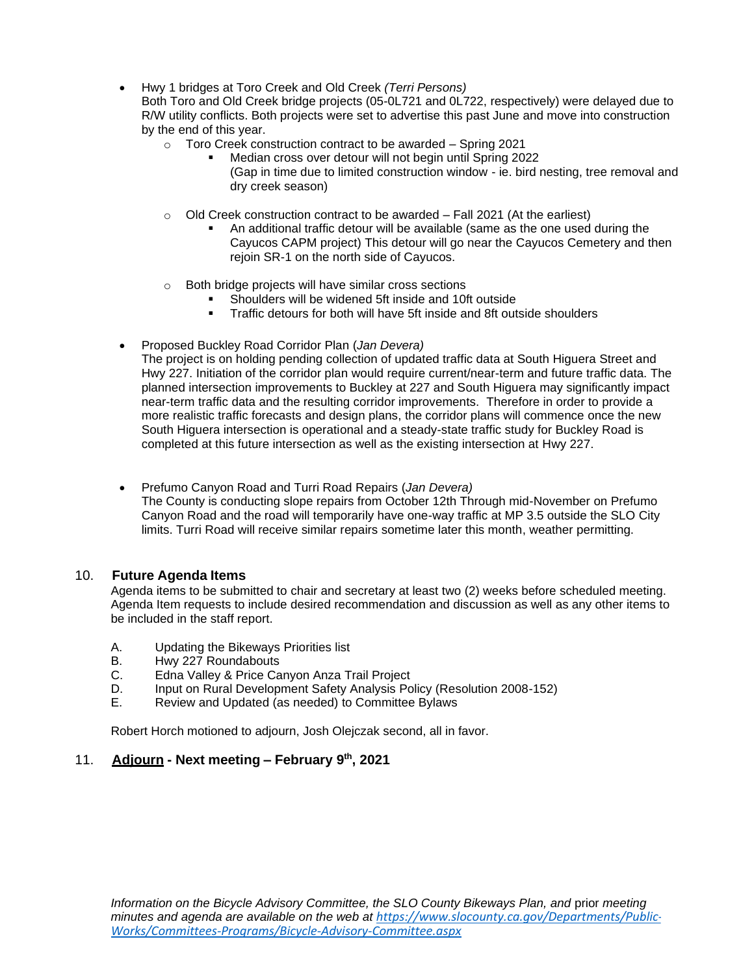• Hwy 1 bridges at Toro Creek and Old Creek *(Terri Persons)*

Both Toro and Old Creek bridge projects (05-0L721 and 0L722, respectively) were delayed due to R/W utility conflicts. Both projects were set to advertise this past June and move into construction by the end of this year.

- o Toro Creek construction contract to be awarded Spring 2021
	- Median cross over detour will not begin until Spring 2022 (Gap in time due to limited construction window - ie. bird nesting, tree removal and dry creek season)
- $\circ$  Old Creek construction contract to be awarded Fall 2021 (At the earliest)
	- An additional traffic detour will be available (same as the one used during the Cayucos CAPM project) This detour will go near the Cayucos Cemetery and then rejoin SR-1 on the north side of Cayucos.
- o Both bridge projects will have similar cross sections
	- Shoulders will be widened 5ft inside and 10ft outside
	- Traffic detours for both will have 5ft inside and 8ft outside shoulders
- Proposed Buckley Road Corridor Plan (*Jan Devera)*

The project is on holding pending collection of updated traffic data at South Higuera Street and Hwy 227. Initiation of the corridor plan would require current/near-term and future traffic data. The planned intersection improvements to Buckley at 227 and South Higuera may significantly impact near-term traffic data and the resulting corridor improvements. Therefore in order to provide a more realistic traffic forecasts and design plans, the corridor plans will commence once the new South Higuera intersection is operational and a steady-state traffic study for Buckley Road is completed at this future intersection as well as the existing intersection at Hwy 227.

• Prefumo Canyon Road and Turri Road Repairs (*Jan Devera)* The County is conducting slope repairs from October 12th Through mid-November on Prefumo Canyon Road and the road will temporarily have one-way traffic at MP 3.5 outside the SLO City limits. Turri Road will receive similar repairs sometime later this month, weather permitting.

# 10. **Future Agenda Items**

Agenda items to be submitted to chair and secretary at least two (2) weeks before scheduled meeting. Agenda Item requests to include desired recommendation and discussion as well as any other items to be included in the staff report.

- A. Updating the Bikeways Priorities list
- B. Hwy 227 Roundabouts
- C. Edna Valley & Price Canyon Anza Trail Project
- D. Input on Rural Development Safety Analysis Policy (Resolution 2008-152)
- E. Review and Updated (as needed) to Committee Bylaws

Robert Horch motioned to adjourn, Josh Olejczak second, all in favor.

# 11. **Adjourn - Next meeting – February 9th, 2021**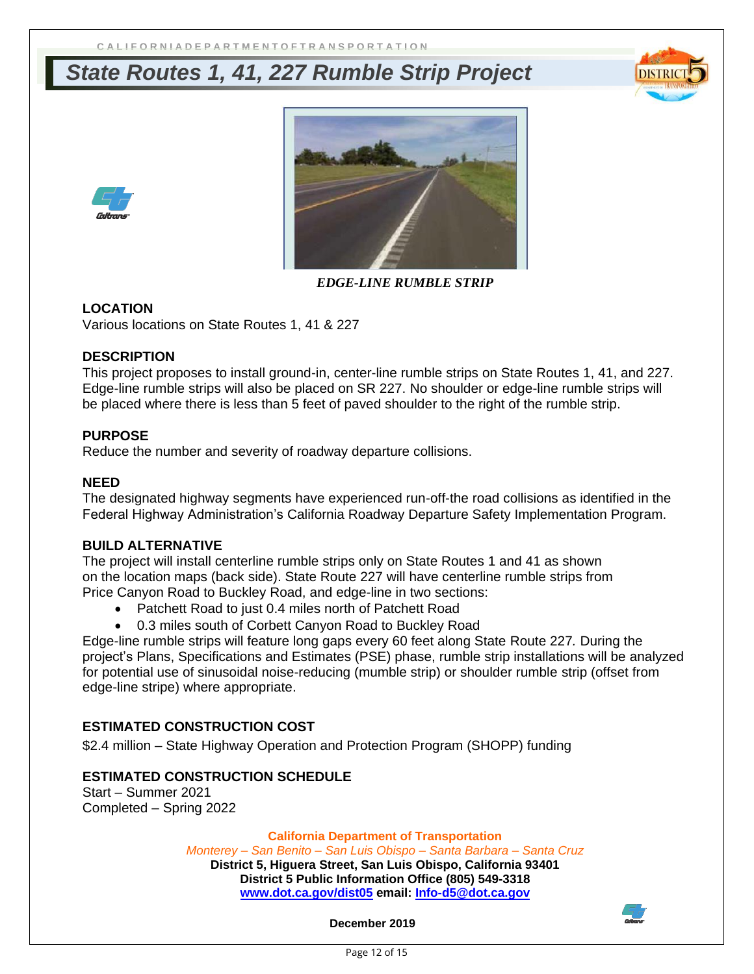# *State Routes 1, 41, 227 Rumble Strip Project*







*EDGE-LINE RUMBLE STRIP* 

# **LOCATION**

Various locations on State Routes 1, 41 & 227

# **DESCRIPTION**

This project proposes to install ground-in, center-line rumble strips on State Routes 1, 41, and 227. Edge-line rumble strips will also be placed on SR 227. No shoulder or edge-line rumble strips will be placed where there is less than 5 feet of paved shoulder to the right of the rumble strip.

# **PURPOSE**

Reduce the number and severity of roadway departure collisions.

#### **NEED**

The designated highway segments have experienced run-off-the road collisions as identified in the Federal Highway Administration's California Roadway Departure Safety Implementation Program.

# **BUILD ALTERNATIVE**

The project will install centerline rumble strips only on State Routes 1 and 41 as shown on the location maps (back side). State Route 227 will have centerline rumble strips from Price Canyon Road to Buckley Road, and edge-line in two sections:

- Patchett Road to just 0.4 miles north of Patchett Road
- 0.3 miles south of Corbett Canyon Road to Buckley Road

Edge-line rumble strips will feature long gaps every 60 feet along State Route 227*.* During the project's Plans, Specifications and Estimates (PSE) phase, rumble strip installations will be analyzed for potential use of sinusoidal noise-reducing (mumble strip) or shoulder rumble strip (offset from edge-line stripe) where appropriate.

# **ESTIMATED CONSTRUCTION COST**

\$2.4 million – State Highway Operation and Protection Program (SHOPP) funding

# **ESTIMATED CONSTRUCTION SCHEDULE**

Start – Summer 2021 Completed – Spring 2022

#### **California Department of Transportation**

*Monterey – San Benito – San Luis Obispo – Santa Barbara – Santa Cruz* **District 5, Higuera Street, San Luis Obispo, California 93401 District 5 Public Information Office (805) 549-3318 [www.dot.ca.gov/dist05](http://www.dot.ca.gov/dist05) email: [Info-d5@dot.ca.gov](mailto:Info-d5@dot.ca.gov)**

**December 2019**

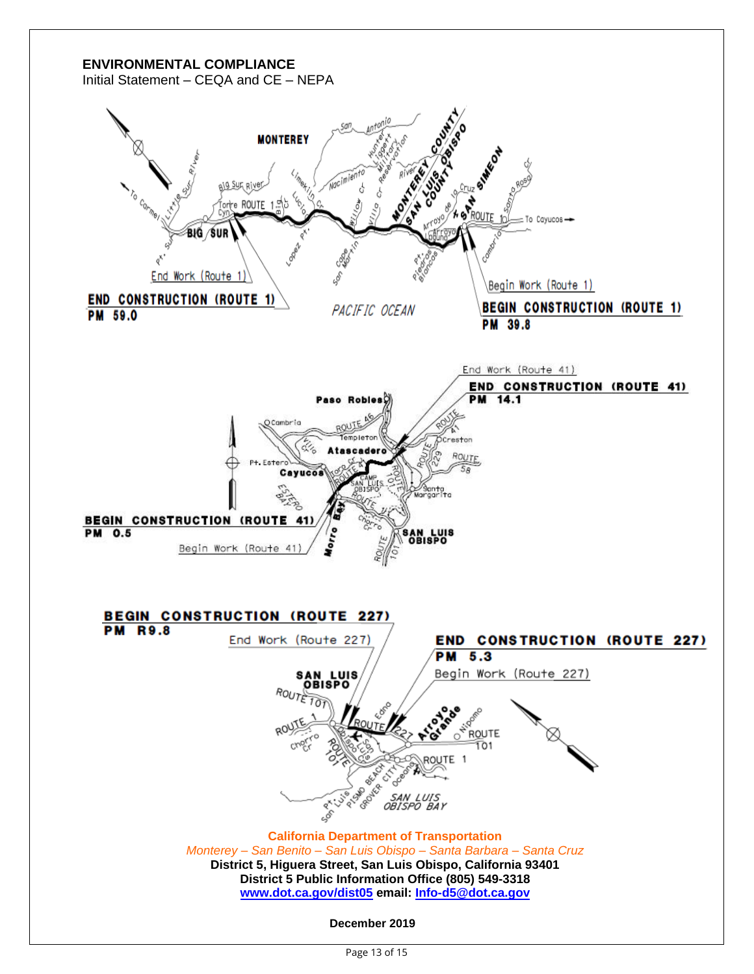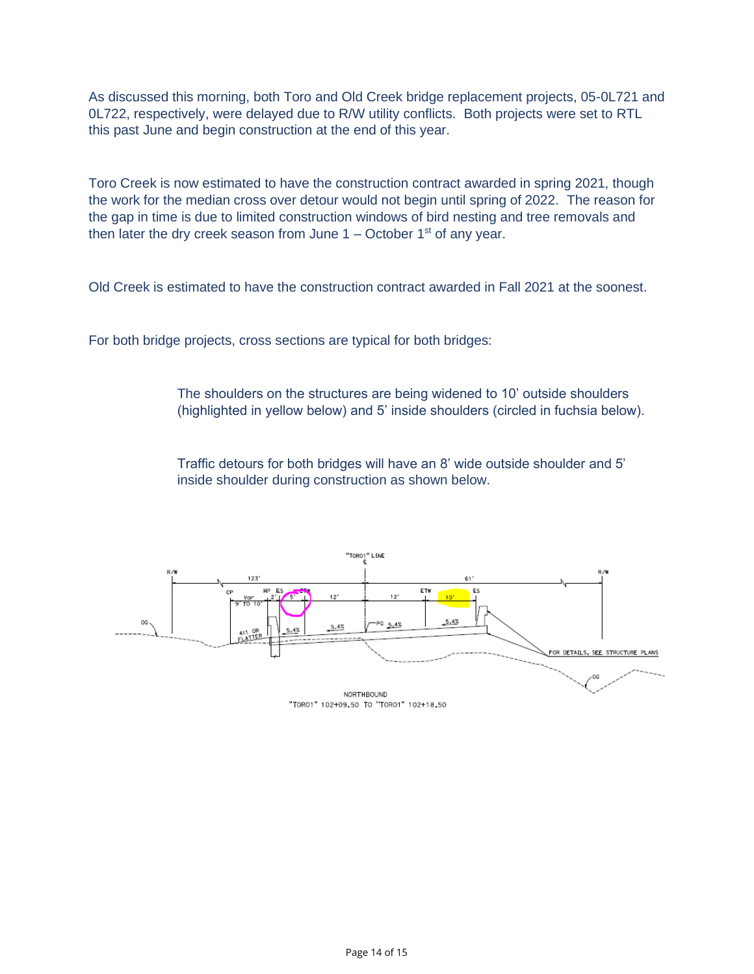As discussed this morning, both Toro and Old Creek bridge replacement projects, 05-0L721 and 0L722, respectively, were delayed due to R/W utility conflicts. Both projects were set to RTL this past June and begin construction at the end of this year.

Toro Creek is now estimated to have the construction contract awarded in spring 2021, though the work for the median cross over detour would not begin until spring of 2022. The reason for the gap in time is due to limited construction windows of bird nesting and tree removals and then later the dry creek season from June  $1 -$  October  $1<sup>st</sup>$  of any year.

Old Creek is estimated to have the construction contract awarded in Fall 2021 at the soonest.

For both bridge projects, cross sections are typical for both bridges:

The shoulders on the structures are being widened to 10' outside shoulders (highlighted in yellow below) and 5' inside shoulders (circled in fuchsia below).

Traffic detours for both bridges will have an 8' wide outside shoulder and 5' inside shoulder during construction as shown below.